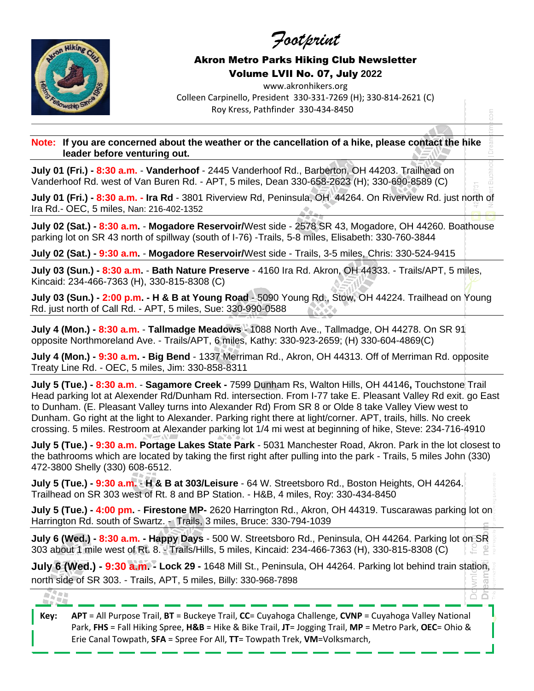*Footprint*



## Akron Metro Parks Hiking Club Newsletter Volume LVII No. 07, July **2022**

www.akronhikers.org Colleen Carpinello, President 330-331-7269 (H); 330-814-2621 (C) Roy Kress, Pathfinder 330-434-8450

**Note: If you are concerned about the weather or the cancellation of a hike, please contact the hike leader before venturing out.**

**July 01 (Fri.) - 8:30 a.m.** - **Vanderhoof** - 2445 Vanderhoof Rd., Barberton, OH 44203. Trailhead on Vanderhoof Rd. west of Van Buren Rd. - APT, 5 miles, Dean 330-658-2623 (H); 330-690-8589 (C)

**July 01 (Fri.) - 8:30 a.m. - Ira Rd** - 3801 Riverview Rd, Peninsula, OH 44264. On Riverview Rd. just north of Ira Rd.- OEC, 5 miles, Nan: 216-402-1352

**July 02 (Sat.) - 8:30 a.m.** - **Mogadore Reservoir/**West side - 2578 SR 43, Mogadore, OH 44260. Boathouse parking lot on SR 43 north of spillway (south of I-76) -Trails, 5-8 miles, Elisabeth: 330-760-3844

**July 02 (Sat.) - 9:30 a.m.** - **Mogadore Reservoir/**West side - Trails, 3-5 miles, Chris: 330-524-9415

**July 03 (Sun.) - 8:30 a.m.** - **Bath Nature Preserve** - 4160 Ira Rd. Akron, OH 44333. - Trails/APT, 5 miles, Kincaid: 234-466-7363 (H), 330-815-8308 (C)

**July 03 (Sun.) - 2:00 p.m. - H & B at Young Road** - 5090 Young Rd., Stow, OH 44224. Trailhead on Young Rd. just north of Call Rd. - APT, 5 miles, Sue: 330-990-0588

**July 4 (Mon.) - 8:30 a.m.** - **Tallmadge Meadows** - 1088 North Ave., Tallmadge, OH 44278. On SR 91 opposite Northmoreland Ave. - Trails/APT, 6 miles, Kathy: 330-923-2659; (H) 330-604-4869(C)

**July 4 (Mon.) - 9:30 a.m. - Big Bend** - 1337 Merriman Rd., Akron, OH 44313. Off of Merriman Rd. opposite Treaty Line Rd. - OEC, 5 miles, Jim: 330-858-8311

**July 5 (Tue.) - 8:30 a.m**. - **Sagamore Creek -** 7599 Dunham Rs, Walton Hills, OH 44146**,** Touchstone Trail Head parking lot at Alexender Rd/Dunham Rd. intersection. From I-77 take E. Pleasant Valley Rd exit. go East to Dunham. (E. Pleasant Valley turns into Alexander Rd) From SR 8 or Olde 8 take Valley View west to Dunham. Go right at the light to Alexander. Parking right there at light/corner. APT, trails, hills. No creek crossing. 5 miles. Restroom at Alexander parking lot 1/4 mi west at beginning of hike, Steve: 234-716-4910

**July 5 (Tue.) - 9:30 a.m. Portage Lakes State Park** - 5031 Manchester Road, Akron. Park in the lot closest to the bathrooms which are located by taking the first right after pulling into the park - Trails, 5 miles John (330) 472-3800 Shelly (330) 608-6512.

**July 5 (Tue.) - 9:30 a.m.** - **H & B at 303/Leisure** - 64 W. Streetsboro Rd., Boston Heights, OH 44264. Trailhead on SR 303 west of Rt. 8 and BP Station. - H&B, 4 miles, Roy: 330-434-8450

**July 5 (Tue.) - 4:00 pm.** - **Firestone MP-** 2620 Harrington Rd., Akron, OH 44319. Tuscarawas parking lot on Harrington Rd. south of Swartz. - Trails, 3 miles, Bruce: 330-794-1039

**July 6 (Wed.) - 8:30 a.m. - Happy Days** - 500 W. Streetsboro Rd., Peninsula, OH 44264. Parking lot on SR 303 about 1 mile west of Rt. 8. - Trails/Hills, 5 miles, Kincaid: 234-466-7363 (H), 330-815-8308 (C)

**July 6 (Wed.) - 9:30 a.m. - Lock 29 -** 1648 Mill St., Peninsula, OH 44264. Parking lot behind train station, north side of SR 303. - Trails, APT, 5 miles, Billy: 330-968-7898

ăă

A.

**Key: APT** = All Purpose Trail, **BT** = Buckeye Trail, **CC**= Cuyahoga Challenge, **CVNP** = Cuyahoga Valley National Park, **FHS** = Fall Hiking Spree, **H&B** = Hike & Bike Trail, **JT**= Jogging Trail, **MP** = Metro Park, **OEC**= Ohio & Erie Canal Towpath, **SFA** = Spree For All, **TT**= Towpath Trek, **VM**=Volksmarch,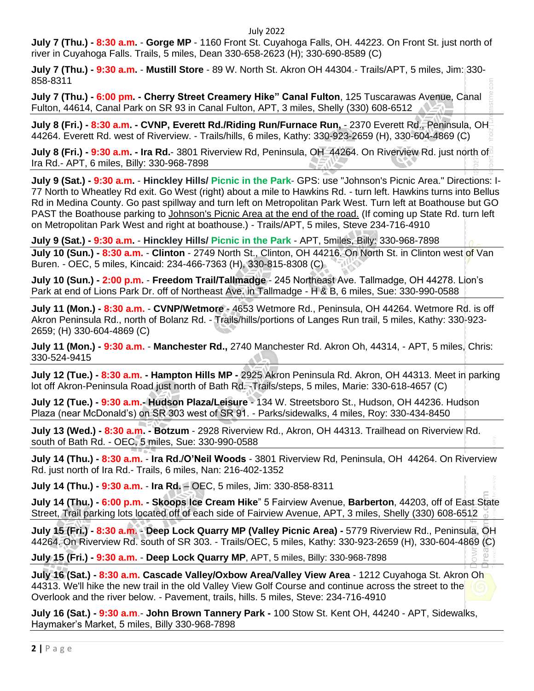## July 2022

**July 7 (Thu.) - 8:30 a.m.** - **Gorge MP** - 1160 Front St. Cuyahoga Falls, OH. 44223. On Front St. just north of river in Cuyahoga Falls. Trails, 5 miles, Dean 330-658-2623 (H); 330-690-8589 (C)

**July 7 (Thu.) - 9:30 a.m.** - **Mustill Store** - 89 W. North St. Akron OH 44304.- Trails/APT, 5 miles, Jim: 330- 858-8311

**July 7 (Thu.) - 6:00 pm. - Cherry Street Creamery Hike" Canal Fulton**, 125 Tuscarawas Avenue, Canal Fulton, 44614, Canal Park on SR 93 in Canal Fulton, APT, 3 miles, Shelly (330) 608-6512

**July 8 (Fri.) - 8:30 a.m. - CVNP, Everett Rd./Riding Run/Furnace Run,** - 2370 Everett Rd., Peninsula, OH 44264. Everett Rd. west of Riverview. - Trails/hills, 6 miles, Kathy: 330-923-2659 (H), 330-604-4869 (C)

**July 8 (Fri.) - 9:30 a.m. - Ira Rd.**- 3801 Riverview Rd, Peninsula, OH 44264. On Riverview Rd. just north of Ira Rd.- APT, 6 miles, Billy: 330-968-7898

**July 9 (Sat.) - 9:30 a.m.** - **Hinckley Hills/ Picnic in the Park**- GPS: use "Johnson's Picnic Area." Directions: I-77 North to Wheatley Rd exit. Go West (right) about a mile to Hawkins Rd. - turn left. Hawkins turns into Bellus Rd in Medina County. Go past spillway and turn left on Metropolitan Park West. Turn left at Boathouse but GO PAST the Boathouse parking to Johnson's Picnic Area at the end of the road. (If coming up State Rd. turn left on Metropolitan Park West and right at boathouse.) - Trails/APT, 5 miles, Steve 234-716-4910

**July 9 (Sat.) - 9:30 a.m.** - **Hinckley Hills/ Picnic in the Park** - APT, 5miles, Billy: 330-968-7898 **July 10 (Sun.) - 8:30 a.m.** - **Clinton** - 2749 North St., Clinton, OH 44216. On North St. in Clinton west of Van Buren. - OEC, 5 miles, Kincaid: 234-466-7363 (H), 330-815-8308 (C)

**July 10 (Sun.) - 2:00 p.m.** - **Freedom Trail/Tallmadge** - 245 Northeast Ave. Tallmadge, OH 44278. Lion's Park at end of Lions Park Dr. off of Northeast Ave. in Tallmadge - H & B, 6 miles, Sue: 330-990-0588

**July 11 (Mon.) - 8:30 a.m.** - **CVNP/Wetmore** - 4653 Wetmore Rd., Peninsula, OH 44264. Wetmore Rd. is off Akron Peninsula Rd., north of Bolanz Rd. - Trails/hills/portions of Langes Run trail, 5 miles, Kathy: 330-923- 2659; (H) 330-604-4869 (C)

**July 11 (Mon.) - 9:30 a.m.** - **Manchester Rd.,** 2740 Manchester Rd. Akron Oh, 44314, - APT, 5 miles, Chris: 330-524-9415

**July 12 (Tue.) - 8:30 a.m. - Hampton Hills MP -** 2925 Akron Peninsula Rd. Akron, OH 44313. Meet in parking lot off Akron-Peninsula Road just north of Bath Rd. -Trails/steps, 5 miles, Marie: 330-618-4657 (C)

**July 12 (Tue.) - 9:30 a.m.- Hudson Plaza/Leisure** - 134 W. Streetsboro St., Hudson, OH 44236. Hudson Plaza (near McDonald's) on SR 303 west of SR 91. - Parks/sidewalks, 4 miles, Roy: 330-434-8450

**July 13 (Wed.) - 8:30 a.m. - Botzum** - 2928 Riverview Rd., Akron, OH 44313. Trailhead on Riverview Rd. south of Bath Rd. - OEC, 5 miles, Sue: 330-990-0588

**July 14 (Thu.) - 8:30 a.m.** - **Ira Rd./O'Neil Woods** - 3801 Riverview Rd, Peninsula, OH 44264. On Riverview Rd. just north of Ira Rd.- Trails, 6 miles, Nan: 216-402-1352

**July 14 (Thu.) - 9:30 a.m.** - **Ira Rd.** – OEC, 5 miles, Jim: 330-858-8311

**July 14 (Thu.) - 6:00 p.m. - Skoops Ice Cream Hike**" 5 Fairview Avenue, **Barberton**, 44203, off of East State Street, Trail parking lots located off of each side of Fairview Avenue, APT, 3 miles, Shelly (330) 608-6512

**July 15 (Fri.) - 8:30 a.m.** - **Deep Lock Quarry MP (Valley Picnic Area) -** 5779 Riverview Rd., Peninsula, OH 44264. On Riverview Rd. south of SR 303. - Trails/OEC, 5 miles, Kathy: 330-923-2659 (H), 330-604-4869 (C)

**July 15 (Fri.) - 9:30 a.m.** - **Deep Lock Quarry MP**, APT, 5 miles, Billy: 330-968-7898

**July 16 (Sat.) - 8:30 a.m. Cascade Valley/Oxbow Area/Valley View Area** - 1212 Cuyahoga St. Akron Oh 44313. We'll hike the new trail in the old Valley View Golf Course and continue across the street to the Overlook and the river below. - Pavement, trails, hills. 5 miles, Steve: 234-716-4910

**July 16 (Sat.) - 9:30 a.m**.- **John Brown Tannery Park -** 100 Stow St. Kent OH, 44240 - APT, Sidewalks, Haymaker's Market, 5 miles, Billy 330-968-7898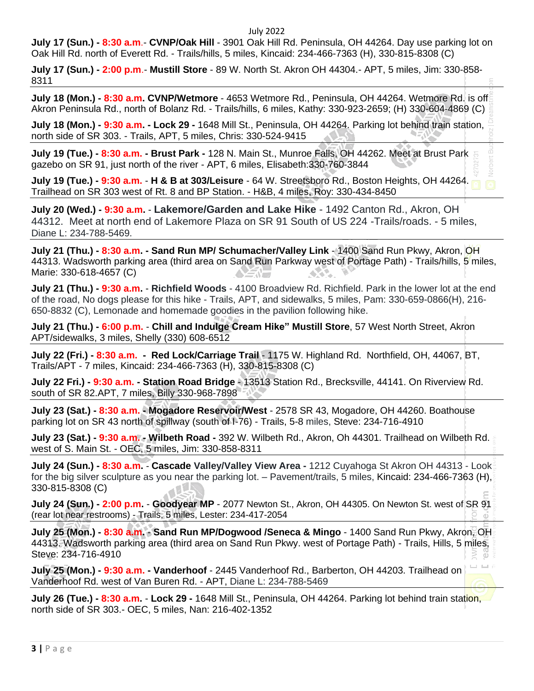## July 2022

**July 17 (Sun.) - 8:30 a.m**.- **CVNP/Oak Hill** - 3901 Oak Hill Rd. Peninsula, OH 44264. Day use parking lot on Oak Hill Rd. north of Everett Rd. - Trails/hills, 5 miles, Kincaid: 234-466-7363 (H), 330-815-8308 (C)

**July 17 (Sun.) - 2:00 p.m**.- **Mustill Store** - 89 W. North St. Akron OH 44304.- APT, 5 miles, Jim: 330-858- 8311

**July 18 (Mon.) - 8:30 a.m. CVNP/Wetmore** - 4653 Wetmore Rd., Peninsula, OH 44264. Wetmore Rd. is off Akron Peninsula Rd., north of Bolanz Rd. - Trails/hills, 6 miles, Kathy: 330-923-2659; (H) 330-604-4869 (C)

**July 18 (Mon.) - 9:30 a.m. - Lock 29 -** 1648 Mill St., Peninsula, OH 44264. Parking lot behind train station, north side of SR 303. - Trails, APT, 5 miles, Chris: 330-524-9415

**July 19 (Tue.) - 8:30 a.m. - Brust Park -** 128 N. Main St., Munroe Falls, OH 44262. Meet at Brust Park gazebo on SR 91, just north of the river - APT, 6 miles, Elisabeth:330-760-3844

**July 19 (Tue.) - 9:30 a.m.** - **H & B at 303/Leisure** - 64 W. Streetsboro Rd., Boston Heights, OH 44264. Trailhead on SR 303 west of Rt. 8 and BP Station. - H&B, 4 miles, Roy: 330-434-8450

**July 20 (Wed.) - 9:30 a.m.** - **Lakemore/Garden and Lake Hike** - 1492 Canton Rd., Akron, OH 44312. Meet at north end of Lakemore Plaza on SR 91 South of US 224 -Trails/roads. - 5 miles, Diane L: 234-788-5469.

**July 21 (Thu.) - 8:30 a.m. - Sand Run MP/ Schumacher/Valley Link** - 1400 Sand Run Pkwy, Akron, OH 44313. Wadsworth parking area (third area on Sand Run Parkway west of Portage Path) - Trails/hills, 5 miles, Marie: 330-618-4657 (C) KX. **SANT** 

**July 21 (Thu.) - 9:30 a.m.** - **Richfield Woods** - 4100 Broadview Rd. Richfield. Park in the lower lot at the end of the road, No dogs please for this hike - Trails, APT, and sidewalks, 5 miles, Pam: 330-659-0866(H), 216- 650-8832 (C), Lemonade and homemade goodies in the pavilion following hike.

**July 21 (Thu.) - 6:00 p.m.** - **Chill and Indulge Cream Hike" Mustill Store**, 57 West North Street, Akron APT/sidewalks, 3 miles, Shelly (330) 608-6512

**July 22 (Fri.) - 8:30 a.m. - Red Lock/Carriage Trail** - 1175 W. Highland Rd. Northfield, OH, 44067, BT, Trails/APT - 7 miles, Kincaid: 234-466-7363 (H), 330-815-8308 (C)

**July 22 Fri.) - 9:30 a.m. - Station Road Bridge** - 13513 Station Rd., Brecksville, 44141. On Riverview Rd. south of SR 82.APT, 7 miles, Billy 330-968-7898

**July 23 (Sat.) - 8:30 a.m. - Mogadore Reservoir/West** - 2578 SR 43, Mogadore, OH 44260. Boathouse parking lot on SR 43 north of spillway (south of I-76) - Trails, 5-8 miles, Steve: 234-716-4910

**July 23 (Sat.) - 9:30 a.m. - Wilbeth Road -** 392 W. Wilbeth Rd., Akron, Oh 44301. Trailhead on Wilbeth Rd. west of S. Main St. - OEC, 5 miles, Jim: 330-858-8311

**July 24 (Sun.) - 8:30 a.m.** - **Cascade Valley/Valley View Area -** 1212 Cuyahoga St Akron OH 44313 - Look for the big silver sculpture as you near the parking lot. – Pavement/trails, 5 miles, Kincaid: 234-466-7363 (H), 330-815-8308 (C)

**July 24 (Sun.) - 2:00 p.m.** - **Goodyear MP** - 2077 Newton St., Akron, OH 44305. On Newton St. west of SR 91 (rear lot near restrooms) - Trails, 5 miles, Lester: 234-417-2054

**July 25 (Mon.) - 8:30 a.m.** - **Sand Run MP/Dogwood /Seneca & Mingo** - 1400 Sand Run Pkwy, Akron, OH 44313. Wadsworth parking area (third area on Sand Run Pkwy. west of Portage Path) - Trails, Hills, 5 miles, Steve: 234-716-4910

**July 25 (Mon.) - 9:30 a.m. - Vanderhoof** - 2445 Vanderhoof Rd., Barberton, OH 44203. Trailhead on Vanderhoof Rd. west of Van Buren Rd. - APT, Diane L: 234-788-5469

**July 26 (Tue.) - 8:30 a.m.** - **Lock 29 -** 1648 Mill St., Peninsula, OH 44264. Parking lot behind train station, north side of SR 303.- OEC, 5 miles, Nan: 216-402-1352